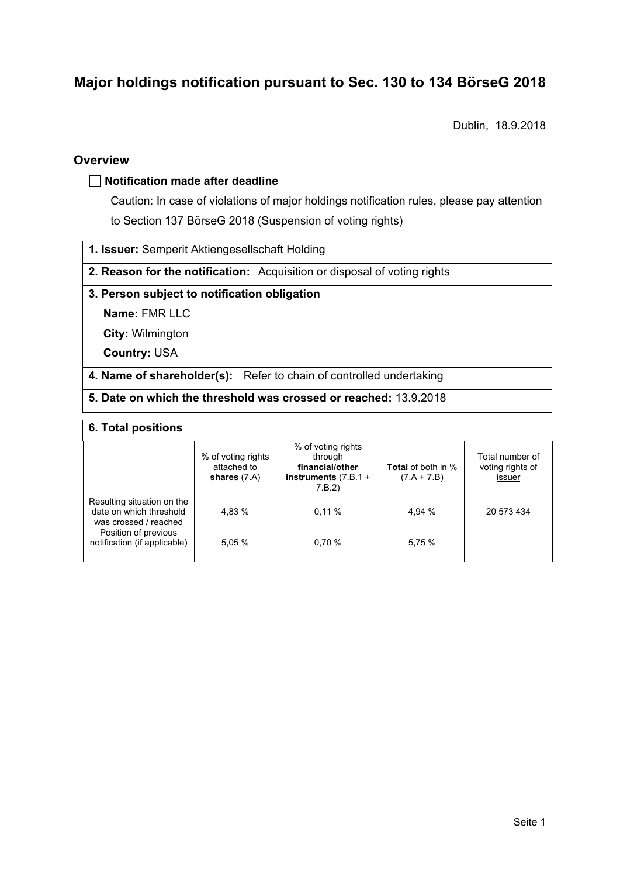# **Major holdings notification pursuant to Sec. 130 to 134 BörseG 2018**

Dublin, 18.9.2018

### **Overview**

### **Notification made after deadline**

Caution: In case of violations of major holdings notification rules, please pay attention to Section 137 BörseG 2018 (Suspension of voting rights)

**1. Issuer:** Semperit Aktiengesellschaft Holding

**2. Reason for the notification:** Acquisition or disposal of voting rights

### **3. Person subject to notification obligation**

**Name:** FMR LLC

**City:** Wilmington

**Country:** USA

**4. Name of shareholder(s):** Refer to chain of controlled undertaking

**5. Date on which the threshold was crossed or reached:** 13.9.2018

#### **6. Total positions**

|                                                                                | % of voting rights<br>attached to<br>shares $(7.A)$ | % of voting rights<br>through<br>financial/other<br>instruments $(7.B.1 +$<br>7.B.2 | <b>Total</b> of both in %<br>$(7.A + 7.B)$ | Total number of<br>voting rights of<br>issuer |  |  |
|--------------------------------------------------------------------------------|-----------------------------------------------------|-------------------------------------------------------------------------------------|--------------------------------------------|-----------------------------------------------|--|--|
| Resulting situation on the<br>date on which threshold<br>was crossed / reached | 4.83 %                                              | 0.11%                                                                               | 4.94 %                                     | 20 573 434                                    |  |  |
| Position of previous<br>notification (if applicable)                           | 5.05 %                                              | 0.70%                                                                               | 5,75 %                                     |                                               |  |  |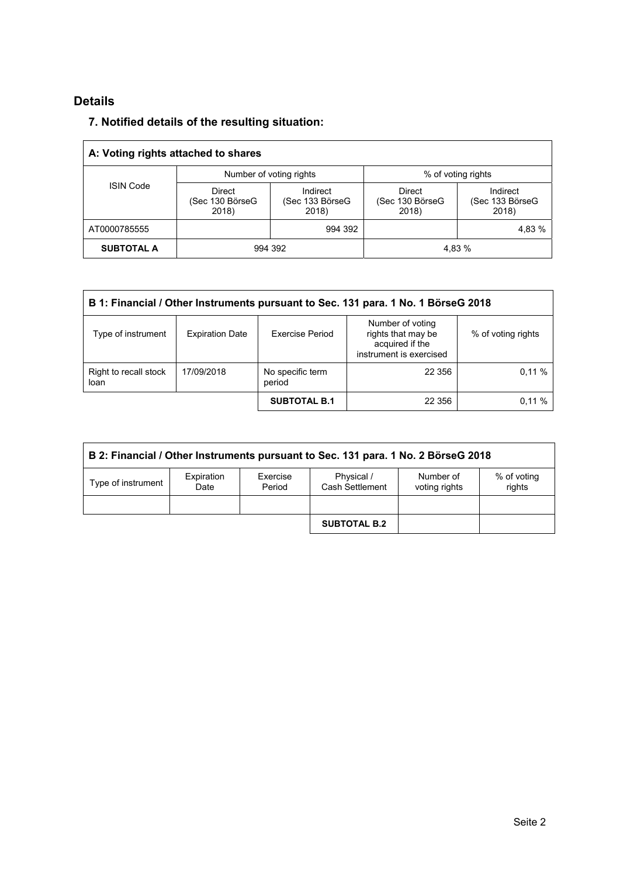## **Details**

## **7. Notified details of the resulting situation:**

| A: Voting rights attached to shares |                                           |                                      |                                           |                                      |  |  |
|-------------------------------------|-------------------------------------------|--------------------------------------|-------------------------------------------|--------------------------------------|--|--|
| <b>ISIN Code</b>                    |                                           | Number of voting rights              | % of voting rights                        |                                      |  |  |
|                                     | <b>Direct</b><br>(Sec 130 BörseG<br>2018) | Indirect<br>(Sec 133 BörseG<br>2018) | <b>Direct</b><br>(Sec 130 BörseG<br>2018) | Indirect<br>(Sec 133 BörseG<br>2018) |  |  |
| AT0000785555                        |                                           | 994 392                              |                                           | 4,83 %                               |  |  |
| <b>SUBTOTAL A</b>                   | 994 392                                   |                                      | 4.83 %                                    |                                      |  |  |

| B 1: Financial / Other Instruments pursuant to Sec. 131 para. 1 No. 1 BörseG 2018 |                        |                            |                                                                                      |                    |  |
|-----------------------------------------------------------------------------------|------------------------|----------------------------|--------------------------------------------------------------------------------------|--------------------|--|
| Type of instrument                                                                | <b>Expiration Date</b> | <b>Exercise Period</b>     | Number of voting<br>rights that may be<br>acquired if the<br>instrument is exercised | % of voting rights |  |
| Right to recall stock<br>17/09/2018<br>loan                                       |                        | No specific term<br>period | 22 356                                                                               | 0.11%              |  |
|                                                                                   |                        | <b>SUBTOTAL B.1</b>        | 22 356                                                                               | 0.11%              |  |

| B 2: Financial / Other Instruments pursuant to Sec. 131 para. 1 No. 2 BörseG 2018 |                    |                    |                               |                            |                       |
|-----------------------------------------------------------------------------------|--------------------|--------------------|-------------------------------|----------------------------|-----------------------|
| Type of instrument                                                                | Expiration<br>Date | Exercise<br>Period | Physical /<br>Cash Settlement | Number of<br>voting rights | % of voting<br>rights |
|                                                                                   |                    |                    |                               |                            |                       |
|                                                                                   |                    |                    | <b>SUBTOTAL B.2</b>           |                            |                       |